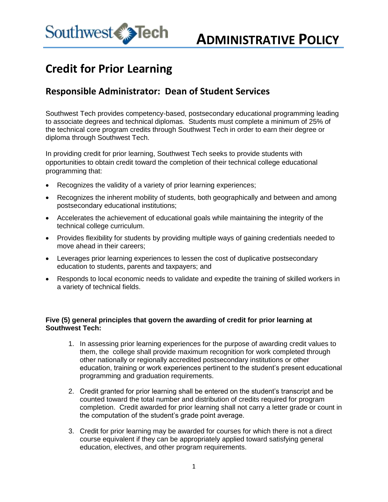

## **Credit for Prior Learning**

### **Responsible Administrator: Dean of Student Services**

Southwest Tech provides competency-based, postsecondary educational programming leading to associate degrees and technical diplomas. Students must complete a minimum of 25% of the technical core program credits through Southwest Tech in order to earn their degree or diploma through Southwest Tech.

In providing credit for prior learning, Southwest Tech seeks to provide students with opportunities to obtain credit toward the completion of their technical college educational programming that:

- Recognizes the validity of a variety of prior learning experiences;
- Recognizes the inherent mobility of students, both geographically and between and among postsecondary educational institutions;
- Accelerates the achievement of educational goals while maintaining the integrity of the technical college curriculum.
- Provides flexibility for students by providing multiple ways of gaining credentials needed to move ahead in their careers;
- Leverages prior learning experiences to lessen the cost of duplicative postsecondary education to students, parents and taxpayers; and
- Responds to local economic needs to validate and expedite the training of skilled workers in a variety of technical fields.

#### **Five (5) general principles that govern the awarding of credit for prior learning at Southwest Tech:**

- 1. In assessing prior learning experiences for the purpose of awarding credit values to them, the college shall provide maximum recognition for work completed through other nationally or regionally accredited postsecondary institutions or other education, training or work experiences pertinent to the student's present educational programming and graduation requirements.
- 2. Credit granted for prior learning shall be entered on the student's transcript and be counted toward the total number and distribution of credits required for program completion. Credit awarded for prior learning shall not carry a letter grade or count in the computation of the student's grade point average.
- 3. Credit for prior learning may be awarded for courses for which there is not a direct course equivalent if they can be appropriately applied toward satisfying general education, electives, and other program requirements.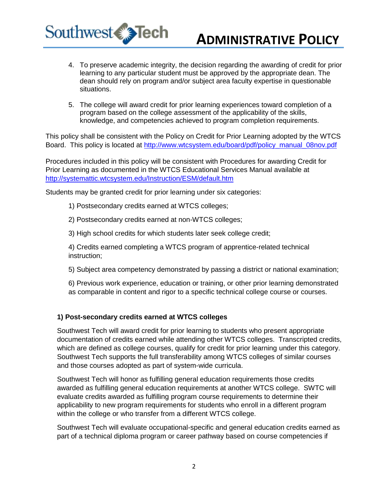

# **ADMINISTRATIVE POLICY**

- 4. To preserve academic integrity, the decision regarding the awarding of credit for prior learning to any particular student must be approved by the appropriate dean. The dean should rely on program and/or subject area faculty expertise in questionable situations.
- 5. The college will award credit for prior learning experiences toward completion of a program based on the college assessment of the applicability of the skills, knowledge, and competencies achieved to program completion requirements.

This policy shall be consistent with the Policy on Credit for Prior Learning adopted by the WTCS Board. This policy is located at [http://www.wtcsystem.edu/board/pdf/policy\\_manual\\_08nov.pdf](http://www.wtcsystem.edu/board/pdf/policy_manual_08nov.pdf)

Procedures included in this policy will be consistent with Procedures for awarding Credit for Prior Learning as documented in the WTCS Educational Services Manual available at <http://systemattic.wtcsystem.edu/Instruction/ESM/default.htm>

Students may be granted credit for prior learning under six categories:

1) Postsecondary credits earned at WTCS colleges;

2) Postsecondary credits earned at non-WTCS colleges;

3) High school credits for which students later seek college credit;

4) Credits earned completing a WTCS program of apprentice-related technical instruction;

5) Subject area competency demonstrated by passing a district or national examination;

6) Previous work experience, education or training, or other prior learning demonstrated as comparable in content and rigor to a specific technical college course or courses.

#### **1) Post-secondary credits earned at WTCS colleges**

Southwest Tech will award credit for prior learning to students who present appropriate documentation of credits earned while attending other WTCS colleges. Transcripted credits, which are defined as college courses, qualify for credit for prior learning under this category. Southwest Tech supports the full transferability among WTCS colleges of similar courses and those courses adopted as part of system-wide curricula.

Southwest Tech will honor as fulfilling general education requirements those credits awarded as fulfilling general education requirements at another WTCS college. SWTC will evaluate credits awarded as fulfilling program course requirements to determine their applicability to new program requirements for students who enroll in a different program within the college or who transfer from a different WTCS college.

Southwest Tech will evaluate occupational-specific and general education credits earned as part of a technical diploma program or career pathway based on course competencies if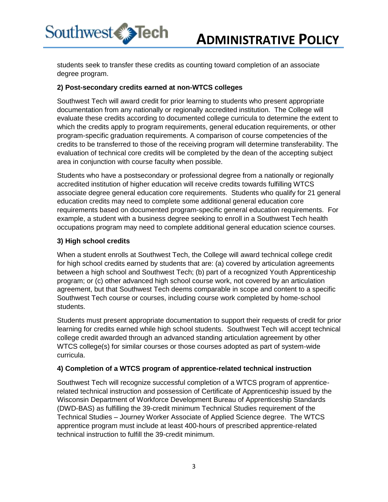

students seek to transfer these credits as counting toward completion of an associate degree program.

#### **2) Post-secondary credits earned at non-WTCS colleges**

Southwest Tech will award credit for prior learning to students who present appropriate documentation from any nationally or regionally accredited institution. The College will evaluate these credits according to documented college curricula to determine the extent to which the credits apply to program requirements, general education requirements, or other program-specific graduation requirements. A comparison of course competencies of the credits to be transferred to those of the receiving program will determine transferability. The evaluation of technical core credits will be completed by the dean of the accepting subject area in conjunction with course faculty when possible.

Students who have a postsecondary or professional degree from a nationally or regionally accredited institution of higher education will receive credits towards fulfilling WTCS associate degree general education core requirements. Students who qualify for 21 general education credits may need to complete some additional general education core requirements based on documented program-specific general education requirements.For example, a student with a business degree seeking to enroll in a Southwest Tech health occupations program may need to complete additional general education science courses.

#### **3) High school credits**

When a student enrolls at Southwest Tech, the College will award technical college credit for high school credits earned by students that are: (a) covered by articulation agreements between a high school and Southwest Tech; (b) part of a recognized Youth Apprenticeship program; or (c) other advanced high school course work, not covered by an articulation agreement, but that Southwest Tech deems comparable in scope and content to a specific Southwest Tech course or courses, including course work completed by home-school students.

Students must present appropriate documentation to support their requests of credit for prior learning for credits earned while high school students. Southwest Tech will accept technical college credit awarded through an advanced standing articulation agreement by other WTCS college(s) for similar courses or those courses adopted as part of system-wide curricula.

#### **4) Completion of a WTCS program of apprentice-related technical instruction**

Southwest Tech will recognize successful completion of a WTCS program of apprenticerelated technical instruction and possession of Certificate of Apprenticeship issued by the Wisconsin Department of Workforce Development Bureau of Apprenticeship Standards (DWD-BAS) as fulfilling the 39-credit minimum Technical Studies requirement of the Technical Studies – Journey Worker Associate of Applied Science degree. The WTCS apprentice program must include at least 400-hours of prescribed apprentice-related technical instruction to fulfill the 39-credit minimum.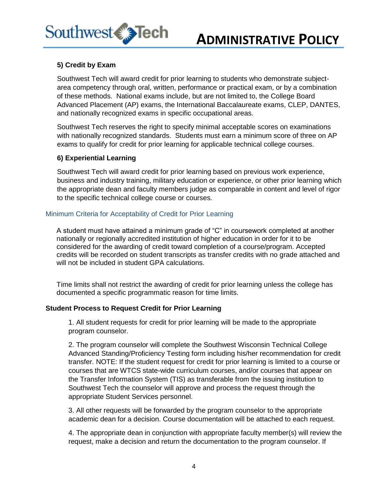



#### **5) Credit by Exam**

Southwest Tech will award credit for prior learning to students who demonstrate subjectarea competency through oral, written, performance or practical exam, or by a combination of these methods. National exams include, but are not limited to, the College Board Advanced Placement (AP) exams, the International Baccalaureate exams, CLEP, DANTES, and nationally recognized exams in specific occupational areas.

Southwest Tech reserves the right to specify minimal acceptable scores on examinations with nationally recognized standards. Students must earn a minimum score of three on AP exams to qualify for credit for prior learning for applicable technical college courses.

#### **6) Experiential Learning**

Southwest Tech will award credit for prior learning based on previous work experience, business and industry training, military education or experience, or other prior learning which the appropriate dean and faculty members judge as comparable in content and level of rigor to the specific technical college course or courses.

#### Minimum Criteria for Acceptability of Credit for Prior Learning

A student must have attained a minimum grade of "C" in coursework completed at another nationally or regionally accredited institution of higher education in order for it to be considered for the awarding of credit toward completion of a course/program. Accepted credits will be recorded on student transcripts as transfer credits with no grade attached and will not be included in student GPA calculations.

Time limits shall not restrict the awarding of credit for prior learning unless the college has documented a specific programmatic reason for time limits.

#### **Student Process to Request Credit for Prior Learning**

1. All student requests for credit for prior learning will be made to the appropriate program counselor.

2. The program counselor will complete the Southwest Wisconsin Technical College Advanced Standing/Proficiency Testing form including his/her recommendation for credit transfer. NOTE: If the student request for credit for prior learning is limited to a course or courses that are WTCS state-wide curriculum courses, and/or courses that appear on the Transfer Information System (TIS) as transferable from the issuing institution to Southwest Tech the counselor will approve and process the request through the appropriate Student Services personnel.

3. All other requests will be forwarded by the program counselor to the appropriate academic dean for a decision. Course documentation will be attached to each request.

4. The appropriate dean in conjunction with appropriate faculty member(s) will review the request, make a decision and return the documentation to the program counselor. If